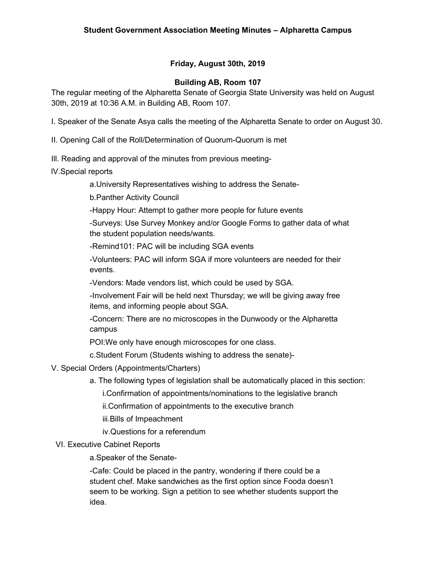## **Friday, August 30th, 2019**

#### **Building AB, Room 107**

The regular meeting of the Alpharetta Senate of Georgia State University was held on August 30th, 2019 at 10:36 A.M. in Building AB, Room 107.

I. Speaker of the Senate Asya calls the meeting of the Alpharetta Senate to order on August 30.

II. Opening Call of the Roll/Determination of Quorum-Quorum is met

- Ill. Reading and approval of the minutes from previous meeting-
- lV.Special reports

a.University Representatives wishing to address the Senate-

b.Panther Activity Council

-Happy Hour: Attempt to gather more people for future events

-Surveys: Use Survey Monkey and/or Google Forms to gather data of what the student population needs/wants.

-Remind101: PAC will be including SGA events

-Volunteers: PAC will inform SGA if more volunteers are needed for their events.

-Vendors: Made vendors list, which could be used by SGA.

-Involvement Fair will be held next Thursday; we will be giving away free items, and informing people about SGA.

-Concern: There are no microscopes in the Dunwoody or the Alpharetta campus

POI:We only have enough microscopes for one class.

c.Student Forum (Students wishing to address the senate)-

#### V. Special Orders (Appointments/Charters)

a. The following types of legislation shall be automatically placed in this section:

i.Confirmation of appointments/nominations to the legislative branch

ii.Confirmation of appointments to the executive branch

iii.Bills of Impeachment

iv.Questions for a referendum

#### VI. Executive Cabinet Reports

a.Speaker of the Senate-

-Cafe: Could be placed in the pantry, wondering if there could be a student chef. Make sandwiches as the first option since Fooda doesn't seem to be working. Sign a petition to see whether students support the idea.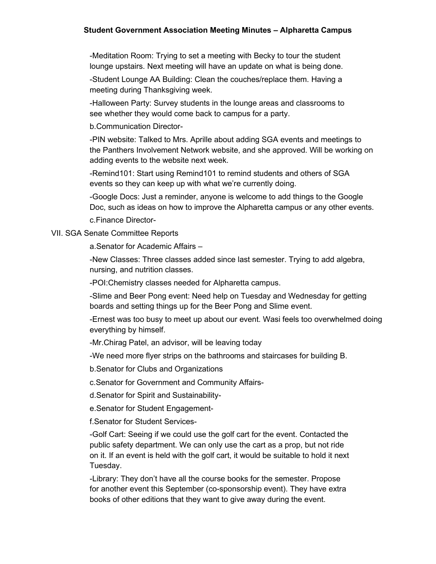#### **Student Government Association Meeting Minutes – Alpharetta Campus**

-Meditation Room: Trying to set a meeting with Becky to tour the student lounge upstairs. Next meeting will have an update on what is being done.

-Student Lounge AA Building: Clean the couches/replace them. Having a meeting during Thanksgiving week.

-Halloween Party: Survey students in the lounge areas and classrooms to see whether they would come back to campus for a party.

b.Communication Director-

-PIN website: Talked to Mrs. Aprille about adding SGA events and meetings to the Panthers Involvement Network website, and she approved. Will be working on adding events to the website next week.

-Remind101: Start using Remind101 to remind students and others of SGA events so they can keep up with what we're currently doing.

-Google Docs: Just a reminder, anyone is welcome to add things to the Google Doc, such as ideas on how to improve the Alpharetta campus or any other events.

c.Finance Director-

#### VII. SGA Senate Committee Reports

a.Senator for Academic Affairs –

-New Classes: Three classes added since last semester. Trying to add algebra, nursing, and nutrition classes.

-POI:Chemistry classes needed for Alpharetta campus.

-Slime and Beer Pong event: Need help on Tuesday and Wednesday for getting boards and setting things up for the Beer Pong and Slime event.

-Ernest was too busy to meet up about our event. Wasi feels too overwhelmed doing everything by himself.

-Mr.Chirag Patel, an advisor, will be leaving today

-We need more flyer strips on the bathrooms and staircases for building B.

b.Senator for Clubs and Organizations

c.Senator for Government and Community Affairs-

d.Senator for Spirit and Sustainability-

e.Senator for Student Engagement-

f.Senator for Student Services-

-Golf Cart: Seeing if we could use the golf cart for the event. Contacted the public safety department. We can only use the cart as a prop, but not ride on it. If an event is held with the golf cart, it would be suitable to hold it next Tuesday.

-Library: They don't have all the course books for the semester. Propose for another event this September (co-sponsorship event). They have extra books of other editions that they want to give away during the event.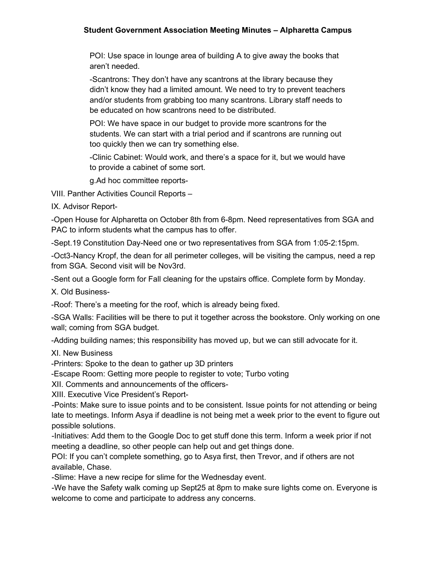### **Student Government Association Meeting Minutes – Alpharetta Campus**

POI: Use space in lounge area of building A to give away the books that aren't needed.

-Scantrons: They don't have any scantrons at the library because they didn't know they had a limited amount. We need to try to prevent teachers and/or students from grabbing too many scantrons. Library staff needs to be educated on how scantrons need to be distributed.

POI: We have space in our budget to provide more scantrons for the students. We can start with a trial period and if scantrons are running out too quickly then we can try something else.

-Clinic Cabinet: Would work, and there's a space for it, but we would have to provide a cabinet of some sort.

g.Ad hoc committee reports-

VIII. Panther Activities Council Reports –

IX. Advisor Report-

-Open House for Alpharetta on October 8th from 6-8pm. Need representatives from SGA and PAC to inform students what the campus has to offer.

-Sept.19 Constitution Day-Need one or two representatives from SGA from 1:05-2:15pm.

-Oct3-Nancy Kropf, the dean for all perimeter colleges, will be visiting the campus, need a rep from SGA. Second visit will be Nov3rd.

-Sent out a Google form for Fall cleaning for the upstairs office. Complete form by Monday.

X. Old Business-

-Roof: There's a meeting for the roof, which is already being fixed.

-SGA Walls: Facilities will be there to put it together across the bookstore. Only working on one wall; coming from SGA budget.

-Adding building names; this responsibility has moved up, but we can still advocate for it.

XI. New Business

-Printers: Spoke to the dean to gather up 3D printers

-Escape Room: Getting more people to register to vote; Turbo voting

XII. Comments and announcements of the officers-

XIII. Executive Vice President's Report-

-Points: Make sure to issue points and to be consistent. Issue points for not attending or being late to meetings. Inform Asya if deadline is not being met a week prior to the event to figure out possible solutions.

-Initiatives: Add them to the Google Doc to get stuff done this term. Inform a week prior if not meeting a deadline, so other people can help out and get things done.

POI: If you can't complete something, go to Asya first, then Trevor, and if others are not available, Chase.

-Slime: Have a new recipe for slime for the Wednesday event.

-We have the Safety walk coming up Sept25 at 8pm to make sure lights come on. Everyone is welcome to come and participate to address any concerns.